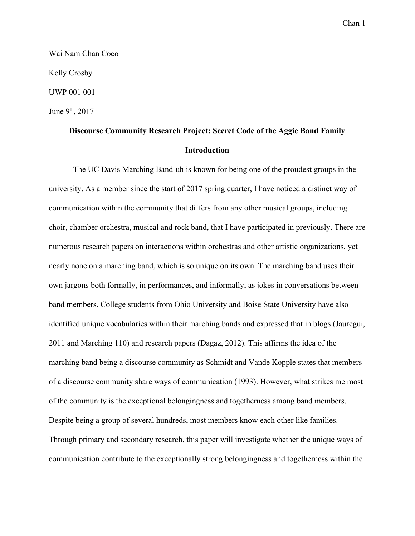Wai Nam Chan Coco Kelly Crosby UWP 001 001 June 9<sup>th</sup>, 2017

# **Discourse Community Research Project: Secret Code of the Aggie Band Family Introduction**

The UC Davis Marching Band-uh is known for being one of the proudest groups in the university. As a member since the start of 2017 spring quarter, I have noticed a distinct way of communication within the community that differs from any other musical groups, including choir, chamber orchestra, musical and rock band, that I have participated in previously. There are numerous research papers on interactions within orchestras and other artistic organizations, yet nearly none on a marching band, which is so unique on its own. The marching band uses their own jargons both formally, in performances, and informally, as jokes in conversations between band members. College students from Ohio University and Boise State University have also identified unique vocabularies within their marching bands and expressed that in blogs (Jauregui, 2011 and Marching 110) and research papers (Dagaz, 2012). This affirms the idea of the marching band being a discourse community as Schmidt and Vande Kopple states that members of a discourse community share ways of communication (1993). However, what strikes me most of the community is the exceptional belongingness and togetherness among band members. Despite being a group of several hundreds, most members know each other like families. Through primary and secondary research, this paper will investigate whether the unique ways of communication contribute to the exceptionally strong belongingness and togetherness within the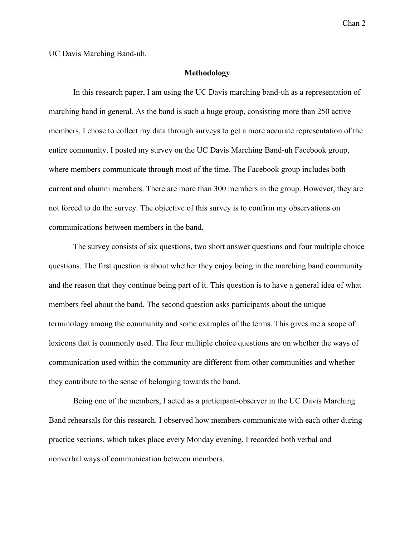UC Davis Marching Band-uh.

#### **Methodology**

In this research paper, I am using the UC Davis marching band-uh as a representation of marching band in general. As the band is such a huge group, consisting more than 250 active members, I chose to collect my data through surveys to get a more accurate representation of the entire community. I posted my survey on the UC Davis Marching Band-uh Facebook group, where members communicate through most of the time. The Facebook group includes both current and alumni members. There are more than 300 members in the group. However, they are not forced to do the survey. The objective of this survey is to confirm my observations on communications between members in the band.

The survey consists of six questions, two short answer questions and four multiple choice questions. The first question is about whether they enjoy being in the marching band community and the reason that they continue being part of it. This question is to have a general idea of what members feel about the band. The second question asks participants about the unique terminology among the community and some examples of the terms. This gives me a scope of lexicons that is commonly used. The four multiple choice questions are on whether the ways of communication used within the community are different from other communities and whether they contribute to the sense of belonging towards the band.

Being one of the members, I acted as a participant-observer in the UC Davis Marching Band rehearsals for this research. I observed how members communicate with each other during practice sections, which takes place every Monday evening. I recorded both verbal and nonverbal ways of communication between members.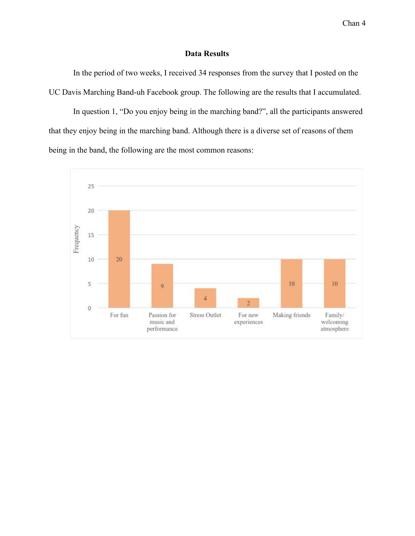# **Data Results**

In the period of two weeks, I received 34 responses from the survey that I posted on the UC Davis Marching Band-uh Facebook group. The following are the results that I accumulated.

In question 1, "Do you enjoy being in the marching band?", all the participants answered that they enjoy being in the marching band. Although there is a diverse set of reasons of them being in the band, the following are the most common reasons:

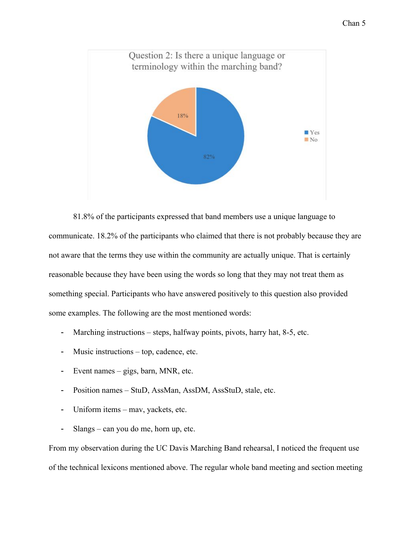

81.8% of the participants expressed that band members use a unique language to communicate. 18.2% of the participants who claimed that there is not probably because they are not aware that the terms they use within the community are actually unique. That is certainly reasonable because they have been using the words so long that they may not treat them as something special. Participants who have answered positively to this question also provided some examples. The following are the most mentioned words:

- Marching instructions steps, halfway points, pivots, harry hat, 8-5, etc.
- Music instructions top, cadence, etc.
- Event names gigs, barn, MNR, etc.
- Position names StuD, AssMan, AssDM, AssStuD, stale, etc.
- Uniform items mav, yackets, etc.
- Slangs can you do me, horn up, etc.

From my observation during the UC Davis Marching Band rehearsal, I noticed the frequent use of the technical lexicons mentioned above. The regular whole band meeting and section meeting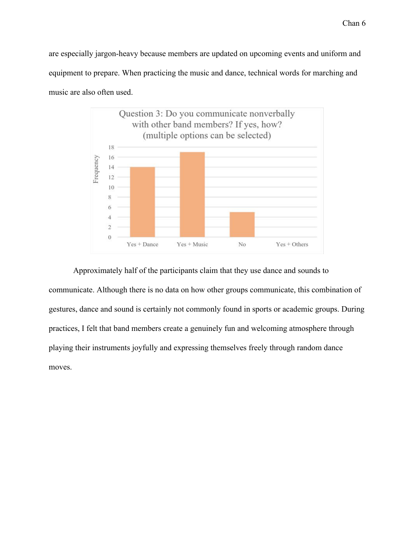are especially jargon-heavy because members are updated on upcoming events and uniform and equipment to prepare. When practicing the music and dance, technical words for marching and music are also often used.



Approximately half of the participants claim that they use dance and sounds to communicate. Although there is no data on how other groups communicate, this combination of gestures, dance and sound is certainly not commonly found in sports or academic groups. During practices, I felt that band members create a genuinely fun and welcoming atmosphere through playing their instruments joyfully and expressing themselves freely through random dance moves.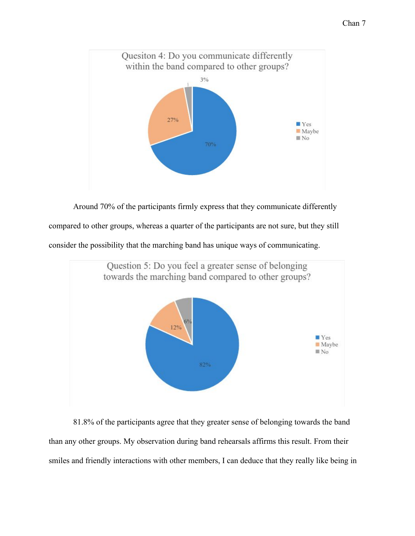

Around 70% of the participants firmly express that they communicate differently compared to other groups, whereas a quarter of the participants are not sure, but they still consider the possibility that the marching band has unique ways of communicating.



81.8% of the participants agree that they greater sense of belonging towards the band than any other groups. My observation during band rehearsals affirms this result. From their smiles and friendly interactions with other members, I can deduce that they really like being in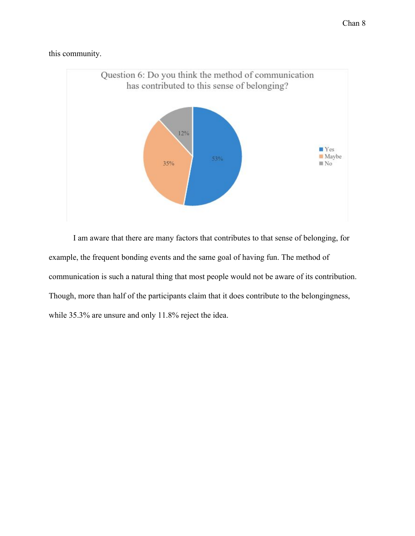this community.



I am aware that there are many factors that contributes to that sense of belonging, for example, the frequent bonding events and the same goal of having fun. The method of communication is such a natural thing that most people would not be aware of its contribution. Though, more than half of the participants claim that it does contribute to the belongingness, while 35.3% are unsure and only 11.8% reject the idea.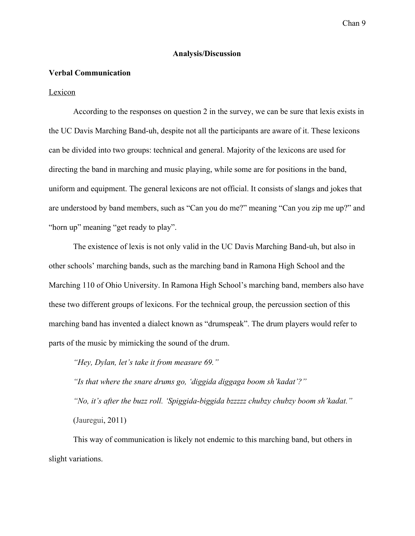# **Analysis/Discussion**

### **Verbal Communication**

#### Lexicon

According to the responses on question 2 in the survey, we can be sure that lexis exists in the UC Davis Marching Band-uh, despite not all the participants are aware of it. These lexicons can be divided into two groups: technical and general. Majority of the lexicons are used for directing the band in marching and music playing, while some are for positions in the band, uniform and equipment. The general lexicons are not official. It consists of slangs and jokes that are understood by band members, such as "Can you do me?" meaning "Can you zip me up?" and "horn up" meaning "get ready to play".

The existence of lexis is not only valid in the UC Davis Marching Band-uh, but also in other schools' marching bands, such as the marching band in Ramona High School and the Marching 110 of Ohio University. In Ramona High School's marching band, members also have these two different groups of lexicons. For the technical group, the percussion section of this marching band has invented a dialect known as "drumspeak". The drum players would refer to parts of the music by mimicking the sound of the drum.

*"Hey, Dylan, let's take it from measure 69."*

*"Is that where the snare drums go, 'diggida diggaga boom sh'kadat'?" "No, it's after the buzz roll. 'Spiggida-biggida bzzzzz chubzy chubzy boom sh'kadat."* (Jauregui, 2011)

This way of communication is likely not endemic to this marching band, but others in slight variations.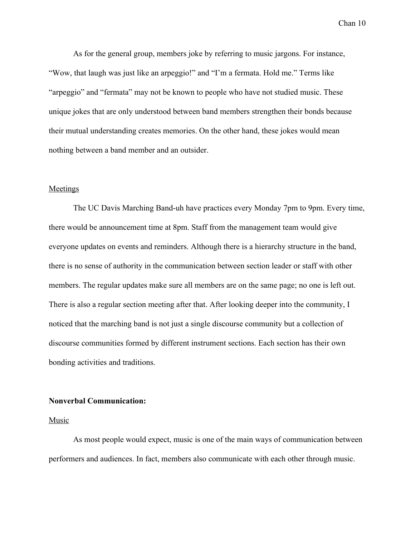As for the general group, members joke by referring to music jargons. For instance, "Wow, that laugh was just like an arpeggio!" and "I'm a fermata. Hold me." Terms like "arpeggio" and "fermata" may not be known to people who have not studied music. These unique jokes that are only understood between band members strengthen their bonds because their mutual understanding creates memories. On the other hand, these jokes would mean nothing between a band member and an outsider.

# Meetings

The UC Davis Marching Band-uh have practices every Monday 7pm to 9pm. Every time, there would be announcement time at 8pm. Staff from the management team would give everyone updates on events and reminders. Although there is a hierarchy structure in the band, there is no sense of authority in the communication between section leader or staff with other members. The regular updates make sure all members are on the same page; no one is left out. There is also a regular section meeting after that. After looking deeper into the community, I noticed that the marching band is not just a single discourse community but a collection of discourse communities formed by different instrument sections. Each section has their own bonding activities and traditions.

# **Nonverbal Communication:**

## Music

As most people would expect, music is one of the main ways of communication between performers and audiences. In fact, members also communicate with each other through music.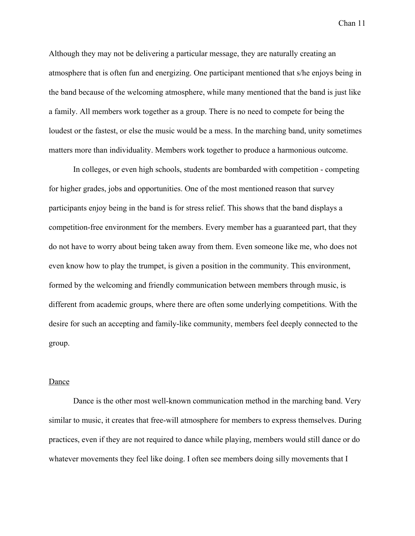Although they may not be delivering a particular message, they are naturally creating an atmosphere that is often fun and energizing. One participant mentioned that s/he enjoys being in the band because of the welcoming atmosphere, while many mentioned that the band is just like a family. All members work together as a group. There is no need to compete for being the loudest or the fastest, or else the music would be a mess. In the marching band, unity sometimes matters more than individuality. Members work together to produce a harmonious outcome.

In colleges, or even high schools, students are bombarded with competition - competing for higher grades, jobs and opportunities. One of the most mentioned reason that survey participants enjoy being in the band is for stress relief. This shows that the band displays a competition-free environment for the members. Every member has a guaranteed part, that they do not have to worry about being taken away from them. Even someone like me, who does not even know how to play the trumpet, is given a position in the community. This environment, formed by the welcoming and friendly communication between members through music, is different from academic groups, where there are often some underlying competitions. With the desire for such an accepting and family-like community, members feel deeply connected to the group.

### Dance

Dance is the other most well-known communication method in the marching band. Very similar to music, it creates that free-will atmosphere for members to express themselves. During practices, even if they are not required to dance while playing, members would still dance or do whatever movements they feel like doing. I often see members doing silly movements that I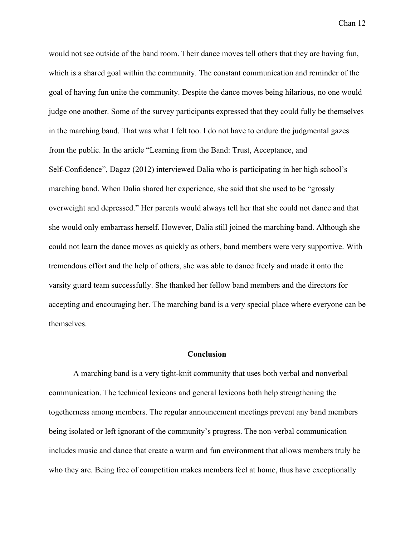would not see outside of the band room. Their dance moves tell others that they are having fun, which is a shared goal within the community. The constant communication and reminder of the goal of having fun unite the community. Despite the dance moves being hilarious, no one would judge one another. Some of the survey participants expressed that they could fully be themselves in the marching band. That was what I felt too. I do not have to endure the judgmental gazes from the public. In the article "Learning from the Band: Trust, Acceptance, and Self-Confidence", Dagaz (2012) interviewed Dalia who is participating in her high school's marching band. When Dalia shared her experience, she said that she used to be "grossly overweight and depressed." Her parents would always tell her that she could not dance and that she would only embarrass herself. However, Dalia still joined the marching band. Although she could not learn the dance moves as quickly as others, band members were very supportive. With tremendous effort and the help of others, she was able to dance freely and made it onto the varsity guard team successfully. She thanked her fellow band members and the directors for accepting and encouraging her. The marching band is a very special place where everyone can be themselves.

#### **Conclusion**

A marching band is a very tight-knit community that uses both verbal and nonverbal communication. The technical lexicons and general lexicons both help strengthening the togetherness among members. The regular announcement meetings prevent any band members being isolated or left ignorant of the community's progress. The non-verbal communication includes music and dance that create a warm and fun environment that allows members truly be who they are. Being free of competition makes members feel at home, thus have exceptionally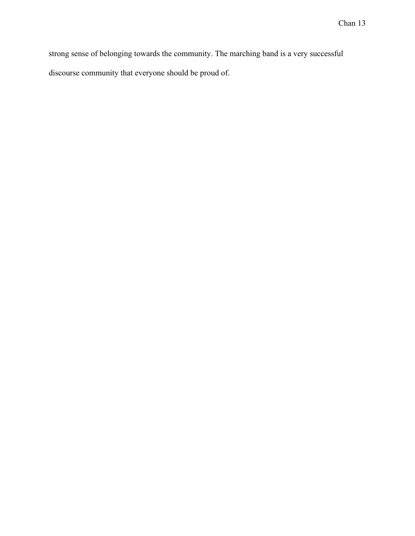strong sense of belonging towards the community. The marching band is a very successful discourse community that everyone should be proud of.